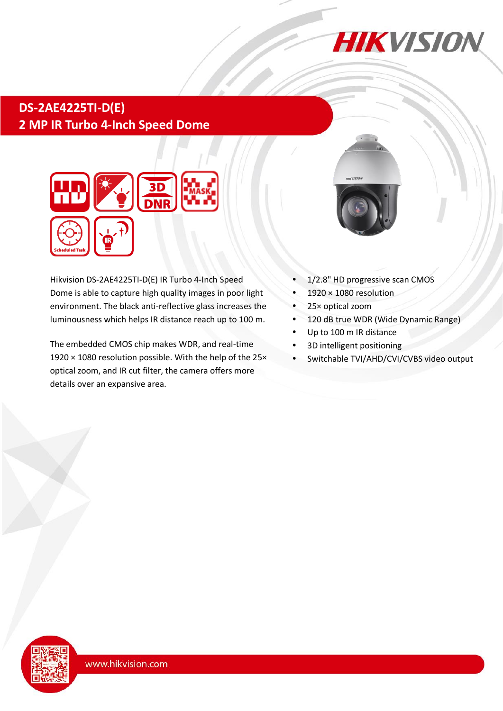

# **DS-2AE4225TI-D(E) 2 MP IR Turbo 4-Inch Speed Dome**



Hikvision DS-2AE4225TI-D(E) IR Turbo 4-Inch Speed Dome is able to capture high quality images in poor light environment. The black anti-reflective glass increases the luminousness which helps IR distance reach up to 100 m.

The embedded CMOS chip makes WDR, and real-time 1920 × 1080 resolution possible. With the help of the 25× optical zoom, and IR cut filter, the camera offers more details over an expansive area.



- 1/2.8" HD progressive scan CMOS
- 1920 × 1080 resolution
- 25× optical zoom
- 120 dB true WDR (Wide Dynamic Range)
- Up to 100 m IR distance
- 3D intelligent positioning
- Switchable TVI/AHD/CVI/CVBS video output

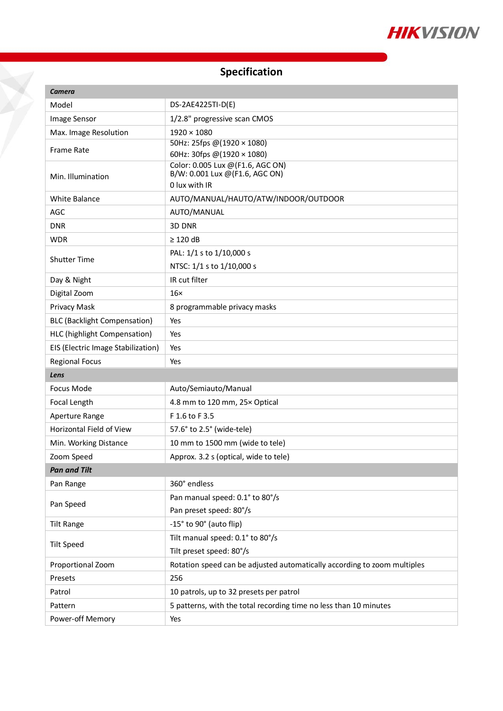

## **Specification**

J

| <b>Camera</b>                       |                                                                          |  |
|-------------------------------------|--------------------------------------------------------------------------|--|
| Model                               | DS-2AE4225TI-D(E)                                                        |  |
| Image Sensor                        | 1/2.8" progressive scan CMOS                                             |  |
| Max. Image Resolution               | $1920 \times 1080$                                                       |  |
| <b>Frame Rate</b>                   | 50Hz: 25fps @(1920 × 1080)                                               |  |
|                                     | 60Hz: 30fps @(1920 × 1080)                                               |  |
| Min. Illumination                   | Color: 0.005 Lux @ (F1.6, AGC ON)<br>B/W: 0.001 Lux @(F1.6, AGC ON)      |  |
|                                     | 0 lux with IR                                                            |  |
| <b>White Balance</b>                | AUTO/MANUAL/HAUTO/ATW/INDOOR/OUTDOOR                                     |  |
| AGC                                 | AUTO/MANUAL                                                              |  |
| <b>DNR</b>                          | 3D DNR                                                                   |  |
| <b>WDR</b>                          | $\geq$ 120 dB                                                            |  |
| <b>Shutter Time</b>                 | PAL: 1/1 s to 1/10,000 s                                                 |  |
|                                     | NTSC: 1/1 s to 1/10,000 s                                                |  |
| Day & Night                         | IR cut filter                                                            |  |
| Digital Zoom                        | $16\times$                                                               |  |
| Privacy Mask                        | 8 programmable privacy masks                                             |  |
| <b>BLC (Backlight Compensation)</b> | Yes                                                                      |  |
| HLC (highlight Compensation)        | Yes                                                                      |  |
| EIS (Electric Image Stabilization)  | Yes                                                                      |  |
| <b>Regional Focus</b>               | Yes                                                                      |  |
| Lens                                |                                                                          |  |
| Focus Mode                          | Auto/Semiauto/Manual                                                     |  |
| Focal Length                        | 4.8 mm to 120 mm, 25x Optical                                            |  |
| Aperture Range                      | F 1.6 to F 3.5                                                           |  |
| Horizontal Field of View            | 57.6° to 2.5° (wide-tele)                                                |  |
| Min. Working Distance               | 10 mm to 1500 mm (wide to tele)                                          |  |
| Zoom Speed                          | Approx. 3.2 s (optical, wide to tele)                                    |  |
| <b>Pan and Tilt</b>                 |                                                                          |  |
| Pan Range                           | 360° endless                                                             |  |
| Pan Speed                           | Pan manual speed: 0.1° to 80°/s                                          |  |
|                                     | Pan preset speed: 80°/s                                                  |  |
| <b>Tilt Range</b>                   | -15° to 90° (auto flip)                                                  |  |
| <b>Tilt Speed</b>                   | Tilt manual speed: 0.1° to 80°/s                                         |  |
|                                     | Tilt preset speed: 80°/s                                                 |  |
| Proportional Zoom                   | Rotation speed can be adjusted automatically according to zoom multiples |  |
| Presets                             | 256                                                                      |  |
| Patrol                              | 10 patrols, up to 32 presets per patrol                                  |  |
| Pattern                             | 5 patterns, with the total recording time no less than 10 minutes        |  |
|                                     |                                                                          |  |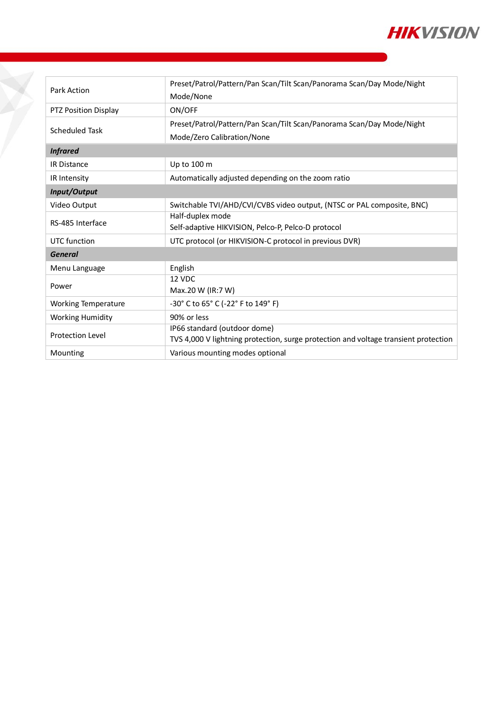

| Park Action                | Preset/Patrol/Pattern/Pan Scan/Tilt Scan/Panorama Scan/Day Mode/Night<br>Mode/None  |  |
|----------------------------|-------------------------------------------------------------------------------------|--|
| PTZ Position Display       | ON/OFF                                                                              |  |
| Scheduled Task             | Preset/Patrol/Pattern/Pan Scan/Tilt Scan/Panorama Scan/Day Mode/Night               |  |
|                            | Mode/Zero Calibration/None                                                          |  |
| <b>Infrared</b>            |                                                                                     |  |
| <b>IR Distance</b>         | Up to 100 m                                                                         |  |
| IR Intensity               | Automatically adjusted depending on the zoom ratio                                  |  |
| Input/Output               |                                                                                     |  |
| Video Output               | Switchable TVI/AHD/CVI/CVBS video output, (NTSC or PAL composite, BNC)              |  |
| RS-485 Interface           | Half-duplex mode                                                                    |  |
|                            | Self-adaptive HIKVISION, Pelco-P, Pelco-D protocol                                  |  |
| UTC function               | UTC protocol (or HIKVISION-C protocol in previous DVR)                              |  |
| <b>General</b>             |                                                                                     |  |
| Menu Language              | English                                                                             |  |
| Power                      | 12 VDC                                                                              |  |
|                            | Max.20 W (IR:7 W)                                                                   |  |
| <b>Working Temperature</b> | -30° C to 65° C (-22° F to 149° F)                                                  |  |
| <b>Working Humidity</b>    | 90% or less                                                                         |  |
| <b>Protection Level</b>    | IP66 standard (outdoor dome)                                                        |  |
|                            | TVS 4,000 V lightning protection, surge protection and voltage transient protection |  |
| Mounting                   | Various mounting modes optional                                                     |  |

Ž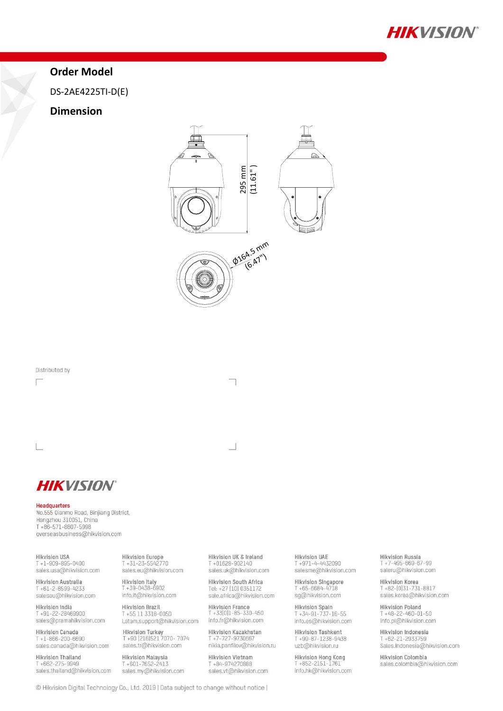

## **Order Model**

DS-2AE4225TI-D(E)

### **Dimension**



Distributed by

Г

L

**HIKVISION®** 

#### Headquarters

No.555 Qianmo Road, Binjiang District, Hangzhou 310051, China T +86-571-8807-5998 overseasbusiness@hikvision.com

**Hikvision USA**  $T + 1 - 909 - 895 - 0400$ sales.usa@hikvision.com

Hikvision Australia<br>T +61-2-8599-4233 salesau@hikvision.com

Hikvision India T+91-22-28469900 sales@pramahikvision.com

Hikvision Canada  $T + 1 - 866 - 200 - 6690$ sales.canada@hikvision.com

Hikvision Thailand  $T + 662 - 275 - 9949$ sales.thailand@hikvision.com **Hikvision Europe** T +31-23-5542770 sales.eu@hikvision.com

Hikvision Italy<br>T + 39-0438-6902 info.it@hikvision.com **Hikvision Brazil** T+55 11 3318-0050

Latam.support@hikvision.com

Hikvision Turkey<br>T +90 (216)521 7070- 7074 sales.tr@hikvision.com

Hikvision Malaysia<br>T +601-7652-2413 sales.my@hikvision.com Hikvision UK & Ireland T+01628-902140 sales.uk@hikvision.com

Hikvision South Africa<br>Tel: +27 (10) 0351172 sale.africa@hikvision.com

Hikvision France<br>T +33(0)1-85-330-450 info.fr@hikvision.com

Hikvision Kazakhstan<br>T +7-727-9730667 nikia.panfilov@hikvision.ru

**Hikvision Vietnam** T +84-974270888 sales.vt@hikvision.com

**Hikvision UAE** T+971-4-4432090 salesme@hikvision.com

Hikvision Singapore<br>T +65-6684-4718 sg@hikvision.com

Hikvision Spain  $T + 34 - 91 - 737 - 16 - 55$ info.es@hikvision.com

Hikvision Tashkent<br>T +99-87-1238-9438 uzb@hikvision.ru

Hikvision Hong Kong<br>T +852-2151-1761 info.hk@hikvision.com

Hikvision Russia T +7-495-669-67-99<br>saleru@hikvision.com

Hikvision Korea<br>T +82-(0)31-731-8817<br>sales.korea@hikvision.com

Hikvision Poland  $T + 48 - 22 - 460 - 01 - 50$ info.pl@hikvision.com

Hikvision Indonesia T+62-21-2933759 Sales.Indonesia@hikvision.com

Hikvision Colombia sales.colombia@hikvision.com

© Hikvision Digital Technology Co., Ltd. 2019 | Data subject to change without notice |